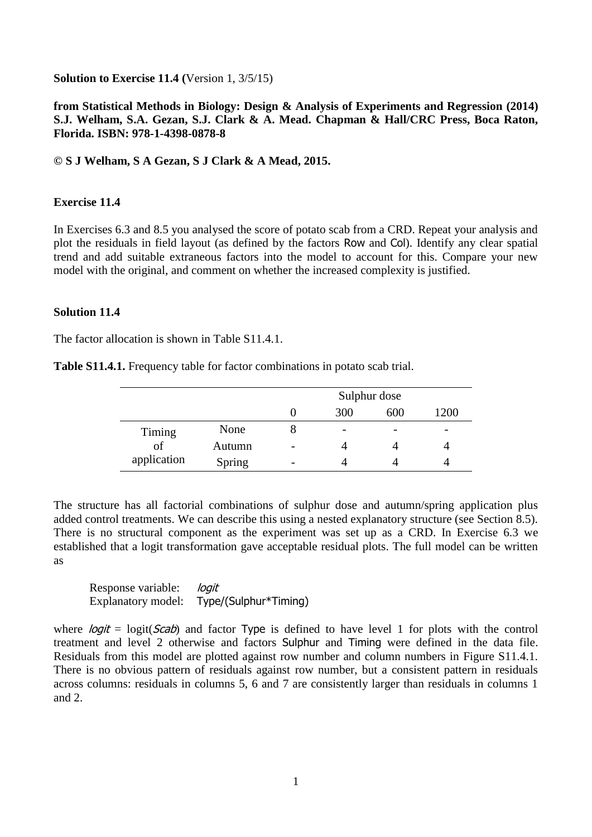**Solution to Exercise 11.4 (**Version 1, 3/5/15)

## **from Statistical Methods in Biology: Design & Analysis of Experiments and Regression (2014) S.J. Welham, S.A. Gezan, S.J. Clark & A. Mead. Chapman & Hall/CRC Press, Boca Raton, Florida. ISBN: 978-1-4398-0878-8**

## **© S J Welham, S A Gezan, S J Clark & A Mead, 2015.**

## **Exercise 11.4**

In Exercises 6.3 and 8.5 you analysed the score of potato scab from a CRD. Repeat your analysis and plot the residuals in field layout (as defined by the factors Row and Col). Identify any clear spatial trend and add suitable extraneous factors into the model to account for this. Compare your new model with the original, and comment on whether the increased complexity is justified.

## **Solution 11.4**

The factor allocation is shown in Table S11.4.1.

| Table S11.4.1. Frequency table for factor combinations in potato scab trial. |  |
|------------------------------------------------------------------------------|--|
|------------------------------------------------------------------------------|--|

|             |        | Sulphur dose |     |                          |                          |  |  |
|-------------|--------|--------------|-----|--------------------------|--------------------------|--|--|
|             |        |              | 300 | 600                      | 1200                     |  |  |
| Timing      | None   |              | -   | $\overline{\phantom{0}}$ | $\overline{\phantom{0}}$ |  |  |
| of          | Autumn |              |     |                          |                          |  |  |
| application | Spring |              |     |                          |                          |  |  |

The structure has all factorial combinations of sulphur dose and autumn/spring application plus added control treatments. We can describe this using a nested explanatory structure (see Section 8.5). There is no structural component as the experiment was set up as a CRD. In Exercise 6.3 we established that a logit transformation gave acceptable residual plots. The full model can be written as

Response variable: *logit* Explanatory model: Type/(Sulphur\*Timing)

where  $logit = logit(Scab)$  and factor Type is defined to have level 1 for plots with the control treatment and level 2 otherwise and factors Sulphur and Timing were defined in the data file. Residuals from this model are plotted against row number and column numbers in Figure S11.4.1. There is no obvious pattern of residuals against row number, but a consistent pattern in residuals across columns: residuals in columns 5, 6 and 7 are consistently larger than residuals in columns 1 and 2.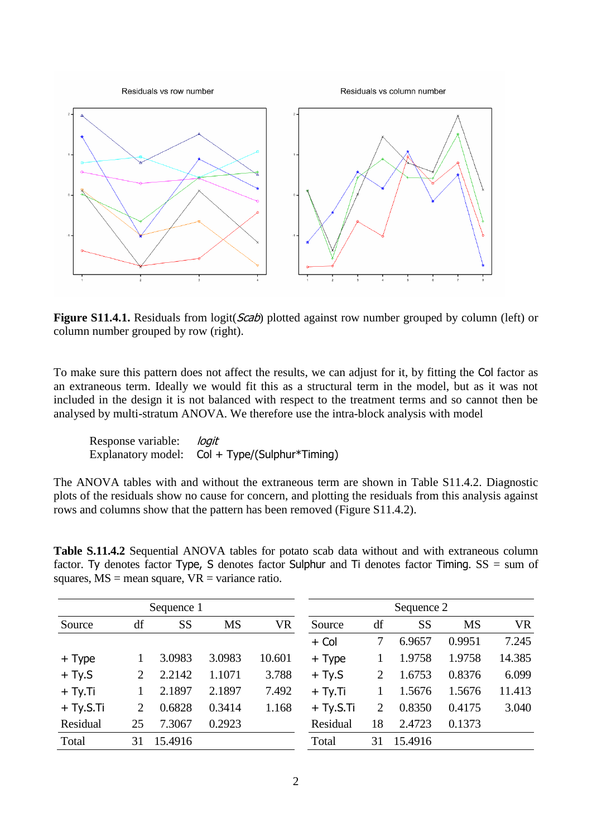

**Figure S11.4.1.** Residuals from logit(*Scab*) plotted against row number grouped by column (left) or column number grouped by row (right).

To make sure this pattern does not affect the results, we can adjust for it, by fitting the Col factor as an extraneous term. Ideally we would fit this as a structural term in the model, but as it was not included in the design it is not balanced with respect to the treatment terms and so cannot then be analysed by multi-stratum ANOVA. We therefore use the intra-block analysis with model

Response variable: *logit* Explanatory model: Col + Type/(Sulphur\*Timing)

The ANOVA tables with and without the extraneous term are shown in Table S11.4.2. Diagnostic plots of the residuals show no cause for concern, and plotting the residuals from this analysis against rows and columns show that the pattern has been removed (Figure S11.4.2).

| Sequence 1  |                             |           |           | Sequence 2 |             |    |           |           |           |
|-------------|-----------------------------|-----------|-----------|------------|-------------|----|-----------|-----------|-----------|
| Source      | df                          | <b>SS</b> | <b>MS</b> | <b>VR</b>  | Source      | df | <b>SS</b> | <b>MS</b> | <b>VR</b> |
|             |                             |           |           |            | $+$ Col     | 7  | 6.9657    | 0.9951    | 7.245     |
| + Type      |                             | 3.0983    | 3.0983    | 10.601     | $+$ Type    |    | 1.9758    | 1.9758    | 14.385    |
| $+ Ty.S$    | 2                           | 2.2142    | 1.1071    | 3.788      | $+$ Ty.S    | 2  | 1.6753    | 0.8376    | 6.099     |
| $+ Ty.Ti$   |                             | 2.1897    | 2.1897    | 7.492      | $+ Ty.Ti$   |    | 1.5676    | 1.5676    | 11.413    |
| $+$ Ty.S.Ti | $\mathcal{D}_{\mathcal{L}}$ | 0.6828    | 0.3414    | 1.168      | $+$ Ty.S.Ti | 2  | 0.8350    | 0.4175    | 3.040     |
| Residual    | 25                          | 7.3067    | 0.2923    |            | Residual    | 18 | 2.4723    | 0.1373    |           |
| Total       | 31                          | 15.4916   |           |            | Total       | 31 | 15.4916   |           |           |

**Table S.11.4.2** Sequential ANOVA tables for potato scab data without and with extraneous column factor. Ty denotes factor Type, S denotes factor Sulphur and Ti denotes factor Timing.  $SS = sum$  of squares,  $MS =$  mean square,  $VR =$  variance ratio.